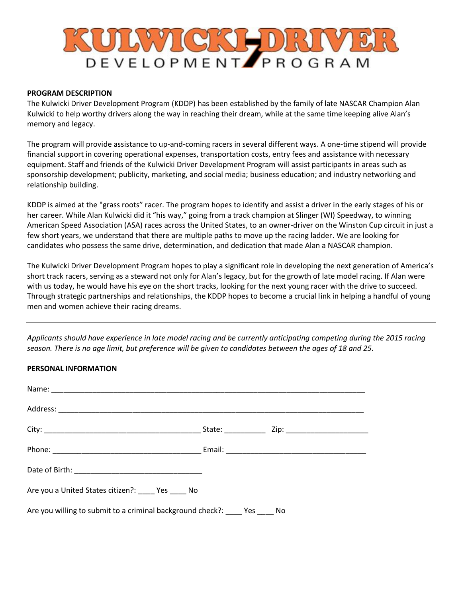# **URWGKHURI** DEVELOPMENT PROGRAM

#### **PROGRAM DESCRIPTION**

The Kulwicki Driver Development Program (KDDP) has been established by the family of late NASCAR Champion Alan Kulwicki to help worthy drivers along the way in reaching their dream, while at the same time keeping alive Alan's memory and legacy.

The program will provide assistance to up-and-coming racers in several different ways. A one-time stipend will provide financial support in covering operational expenses, transportation costs, entry fees and assistance with necessary equipment. Staff and friends of the Kulwicki Driver Development Program will assist participants in areas such as sponsorship development; publicity, marketing, and social media; business education; and industry networking and relationship building.

KDDP is aimed at the "grass roots" racer. The program hopes to identify and assist a driver in the early stages of his or her career. While Alan Kulwicki did it "his way," going from a track champion at Slinger (WI) Speedway, to winning American Speed Association (ASA) races across the United States, to an owner-driver on the Winston Cup circuit in just a few short years, we understand that there are multiple paths to move up the racing ladder. We are looking for candidates who possess the same drive, determination, and dedication that made Alan a NASCAR champion.

The Kulwicki Driver Development Program hopes to play a significant role in developing the next generation of America's short track racers, serving as a steward not only for Alan's legacy, but for the growth of late model racing. If Alan were with us today, he would have his eye on the short tracks, looking for the next young racer with the drive to succeed. Through strategic partnerships and relationships, the KDDP hopes to become a crucial link in helping a handful of young men and women achieve their racing dreams.

*Applicants should have experience in late model racing and be currently anticipating competing during the 2015 racing season. There is no age limit, but preference will be given to candidates between the ages of 18 and 25.* 

#### **PERSONAL INFORMATION**

| Are you a United States citizen?: _____ Yes _____ No                        |  |
|-----------------------------------------------------------------------------|--|
| Are you willing to submit to a criminal background check?: ____ Yes ____ No |  |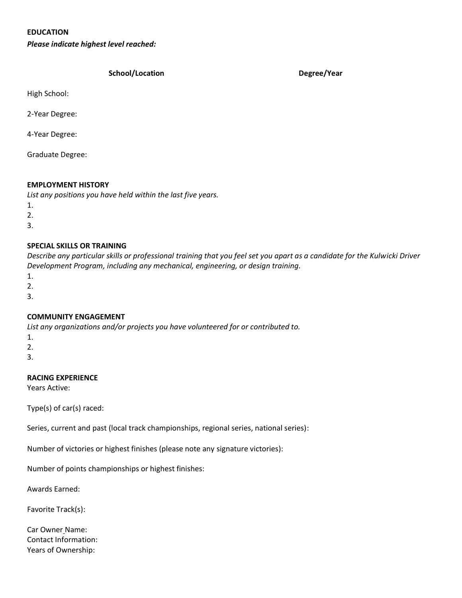### **EDUCATION**

*Please indicate highest level reached:*

#### **School/Location Degree/Year**

High School:

2-Year Degree:

4-Year Degree:

Graduate Degree:

#### **EMPLOYMENT HISTORY**

*List any positions you have held within the last five years.*

- 1.
- 2.
- 3.
- 

#### **SPECIAL SKILLS OR TRAINING**

*Describe any particular skills or professional training that you feel set you apart as a candidate for the Kulwicki Driver Development Program, including any mechanical, engineering, or design training.*

- 1.
- 2.
- 3.

#### **COMMUNITY ENGAGEMENT**

*List any organizations and/or projects you have volunteered for or contributed to.*

- 1.
- 2.

3.

### **RACING EXPERIENCE**

Years Active:

Type(s) of car(s) raced:

Series, current and past (local track championships, regional series, national series):

Number of victories or highest finishes (please note any signature victories):

Number of points championships or highest finishes:

Awards Earned:

Favorite Track(s):

Car Owner Name: Contact Information: Years of Ownership: